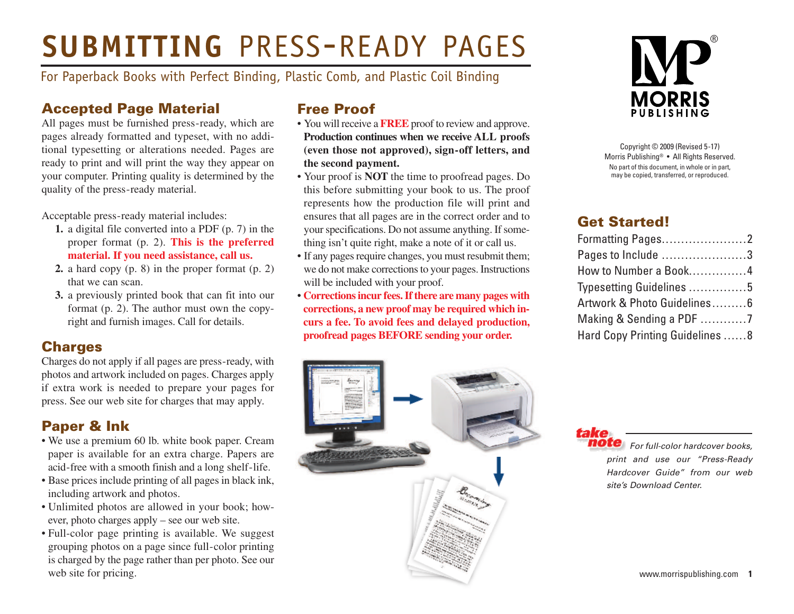# **SUBMITTING** PRESS-READY PAGES

For Paperback Books with Perfect Binding, Plastic Comb, and Plastic Coil Binding

### **Accepted Page Material**

All pages must be furnished press-ready, which are pages already formatted and typeset, with no additional typesetting or alterations needed. Pages are ready to print and will print the way they appear on your computer. Printing quality is determined by the quality of the press-ready material.

Acceptable press-ready material includes:

- **1.** a digital file converted into a PDF (p. 7) in the proper format (p. 2). **This is the preferred material. If you need assistance, call us.**
- **2.** a hard copy (p. 8) in the proper format (p. 2) that we can scan.
- **3.** a previously printed book that can fit into our format (p. 2). The author must own the copyright and furnish images. Call for details.

### **Charges**

Charges do not apply if all pages are press-ready, with photos and artwork included on pages. Charges apply if extra work is needed to prepare your pages for press. See our web site for charges that may apply.

### **Paper & Ink**

- We use a premium 60 lb. white book paper. Cream paper is available for an extra charge. Papers are acid-free with a smooth finish and a long shelf-life.
- Base prices include printing of all pages in black ink, including artwork and photos.
- Unlimited photos are allowed in your book; however, photo charges apply – see our web site.
- Full-color page printing is available. We suggest grouping photos on a page since full-color printing is charged by the page rather than per photo. See our web site for pricing.

### **Free Proof**

- You will receive a **FREE** proof to review and approve. **Production continues when we receive ALL proofs (even those not approved), sign-off letters, and the second payment.**
- Your proof is **NOT** the time to proofread pages. Do this before submitting your book to us. The proof represents how the production file will print and ensures that all pages are in the correct order and to your specifications. Do not assume anything. If something isn't quite right, make a note of it or call us.
- If any pages require changes, you must resubmit them; we do not make corrections to your pages. Instructions will be included with your proof.
- **Correctionsincur fees.Ifthere are many pages with corrections, a new proof may be required which incurs a fee. To avoid fees and delayed production, proofread pages BEFORE sending your order.**



Copyright © 2009 (Revised 5-17) Morris Publishing® • All Rights Reserved. No part of this document, in whole or in part, may be copied, transferred, or reproduced.

### **Get Started!**

| Formatting Pages2               |  |
|---------------------------------|--|
| Pages to Include 3              |  |
| How to Number a Book4           |  |
| Typesetting Guidelines 5        |  |
| Artwork & Photo Guidelines 6    |  |
|                                 |  |
| Hard Copy Printing Guidelines 8 |  |



*For full-color hardcover books, print and use our "Press-Ready Hardcover Guide" from our web site's Download Center.*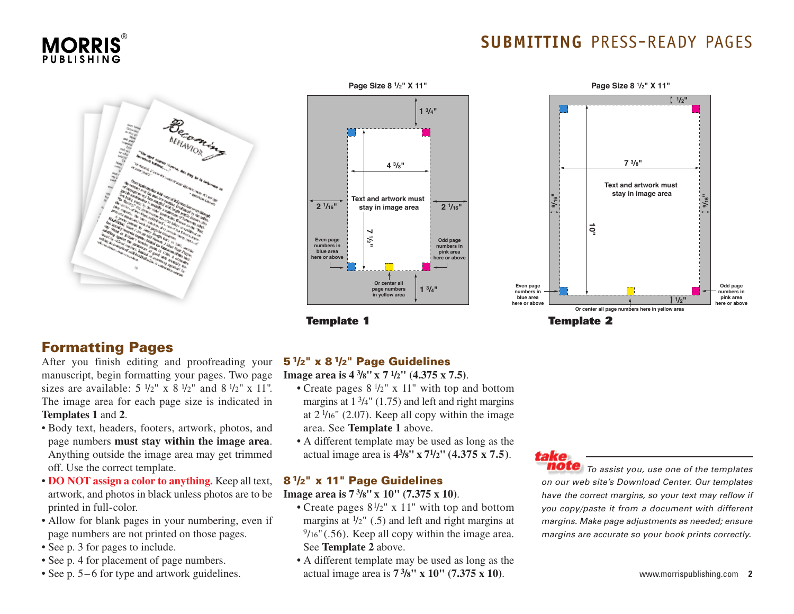



### **Formatting Pages**

After you finish editing and proofreading your manuscript, begin formatting your pages. Two page sizes are available:  $5 \frac{1}{2}$ " x  $8 \frac{1}{2}$ " and  $8 \frac{1}{2}$ " x 11". The image area for each page size is indicated in **Templates 1** and **2**.

- Body text, headers, footers, artwork, photos, and page numbers **must stay within the image area**. Anything outside the image area may get trimmed off. Use the correct template.
- **DO NOT assign a color to anything.** Keep all text, artwork, and photos in black unless photos are to be printed in full-color.
- Allow for blank pages in your numbering, even if page numbers are not printed on those pages.
- See p. 3 for pages to include.
- See p. 4 for placement of page numbers.
- See p. 5–6 for type and artwork guidelines.



**Template 1**

### **SUBMITTING** PRESS-READY PAGES



**Template 2**

### **51/2" x 81/2" Page Guidelines**

**Image area is 4 3/8"x 7 1/2" (4.375 x 7.5)**.

- Create pages  $8\frac{1}{2}$ " x 11" with top and bottom margins at  $1 \frac{3}{4}$ " (1.75) and left and right margins at  $2\frac{1}{16}$  (2.07). Keep all copy within the image area. See **Template 1** above.
	- **•** A different template may be used as long as the actual image area is **43/8" x 71/2" (4.375 x 7.5)**.

### **81/2" x 11" Page Guidelines**

### **Image area is 7 3/8" x 10" (7.375 x 10)**.

- Create pages  $8\frac{1}{2}$ " x 11" with top and bottom margins at  $\frac{1}{2}$ " (.5) and left and right margins at  $\frac{9}{16}$ " (.56). Keep all copy within the image area. See **Template 2** above.
	- **•** A different template may be used as long as the actual image area is **7 3/8" x 10" (7.375 x 10)**.



*To assist you, use one of the templates on our web site's Download Center. Our templates have the correct margins, so your text may reflow if you copy/paste it from a document with different margins. Make page adjustments as needed; ensure margins are accurate so your book prints correctly.*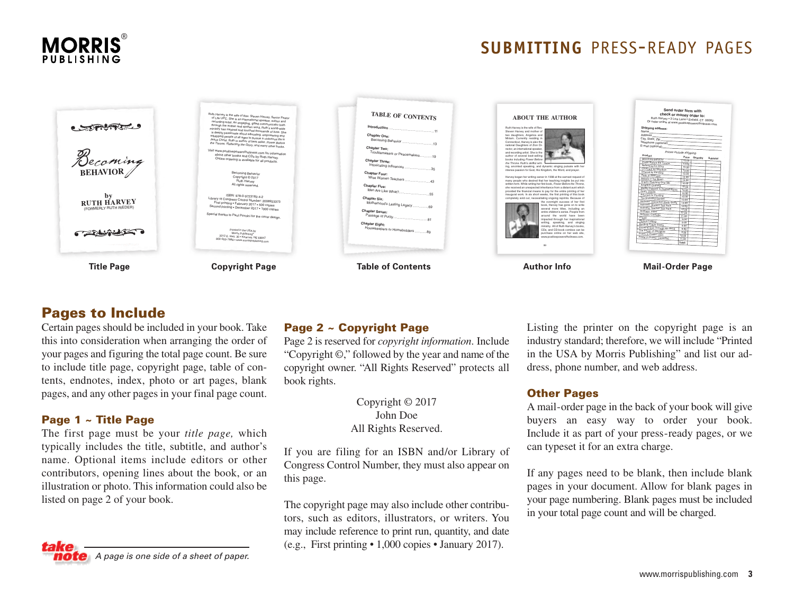

### **SUBMITTING** PRESS-READY PAGES



### **Pages to Include**

Certain pages should be included in your book. Take this into consideration when arranging the order of your pages and figuring the total page count. Be sure to include title page, copyright page, table of contents, endnotes, index, photo or art pages, blank pages, and any other pages in your final page count.

### **Page 1 ~ Title Page**

The first page must be your *title page,* which typically includes the title, subtitle, and author's name. Optional items include editors or other contributors, opening lines about the book, or an illustration or photo. This information could also be listed on page 2 of your book.



### **Page 2 ~ Copyright Page**

Page 2 is reserved for *copyright information*. Include "Copyright  $\mathbb{O}$ ," followed by the year and name of the copyright owner. "All Rights Reserved" protects all book rights.

> Copyright © 2017 John Doe All Rights Reserved.

If you are filing for an ISBN and/or Library of Congress Control Number, they must also appear on this page.

The copyright page may also include other contributors, such as editors, illustrators, or writers. You may include reference to print run, quantity, and date (e.g., First printing • 1,000 copies • January 2017).

Listing the printer on the copyright page is an industry standard; therefore, we will include "Printed in the USA by Morris Publishing" and list our address, phone number, and web address.

#### **Other Pages**

A mail-order page in the back of your book will give buyers an easy way to order your book. Include it as part of your press-ready pages, or we can typeset it for an extra charge.

If any pages need to be blank, then include blank pages in your document. Allow for blank pages in your page numbering. Blank pages must be included in your total page count and will be charged.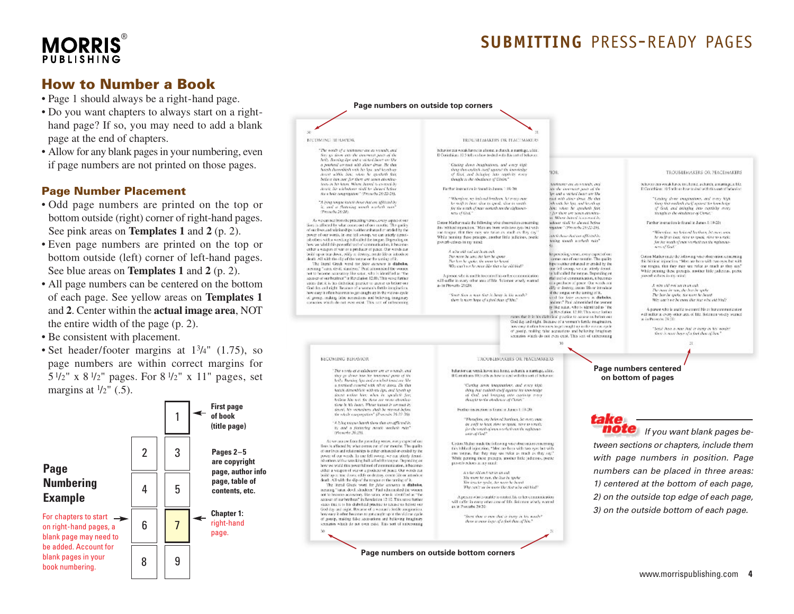## **MORRIS**®

### **SUBMITTING** PRESS-READY PAGES

### **How to Number a Book**

- Page 1 should always be a right-hand page.
- Do you want chapters to always start on a righthand page? If so, you may need to add a blank page at the end of chapters.
- Allow for any blank pages in your numbering, even if page numbers are not printed on those pages.

#### **Page Number Placement**

- Odd page numbers are printed on the top or bottom outside (right) corner of right-hand pages. See pink areas on **Templates 1** and **2** (p. 2).
- Even page numbers are printed on the top or bottom outside (left) corner of left-hand pages. See blue areas on **Templates 1** and **2** (p. 2).
- All page numbers can be centered on the bottom of each page. See yellow areas on **Templates 1** and **2**. Center within the **actual image area**, NOT the entire width of the page (p. 2).
- Be consistent with placement.
- Set header/footer margins at  $1\frac{3}{4}$ " (1.75), so page numbers are within correct margins for 5 $\frac{1}{2}$ " x 8 $\frac{1}{2}$ " pages. For 8 $\frac{1}{2}$ " x 11" pages, set margins at  $\frac{1}{2}$ " (.5).



**Page numbers on outside top corners MICOMING REHAVIOR** TROUBLEMAKERS OR TEACUMAKERS. "The words of a telephones are as weards, and behavior can would have can also as a charch, a marriage, alice, ity go down into the international patch of the Il Contabian: 10.5 tells us haw to deal with das sort a both. Business the and a striked beart on the a positivel contrast with allow draw. He that<br>hored durinolity with his lips, and layed up, denote within this,<br> $\sim 0.66$  . In approach finite Casting down beaginations, and every tight<br>shows that endeds med against the involvinge TEQUELEMAKERS OR PEACEMAKERS **TOR** of first, and beholve has contribe more bettere han not for them are seven abondan-<br>hoes in his heart. Where heaved is co-med by though to the obviouse of Circle." behavior can would have to a heric, a chards, a marriage, a big. Michaels are as results, and North, Newtobelinger shall be theired before Further instruction is found in Janes: 1:19-20: the the increment made of the Il Conjobiano 10:5 wills us have to deal with this cost of behavior Su choic congregator." (Provolu 26:22-26). be and a vecked heart are like Whenhoe an information that many own: Casing show exaginations and many high tried with aliver about. He they "A lying tengar katali doser dat em afficiel by by smill as heart along to annual, along to severalin the state for the state of the state there that exclude the V restrict the love below and a flatering worth resoluth run for the work of man workeds not the rightwart-Not: when he speeded fort If God, and bringing two copilings many (Franchi 26-28). arts of their the there are some character-Sungly to the obtaining of Christ. **When hand is comed in** As we can see from the preceding vertex, every aspect of our lives is affected by what connected of our months. The quality Corso Mather mails the following wike channelies concerning inhour staff by ahered higher Parther instruction is found in James 1:19-20; the biblical impaction. Wen are born with two eyes but with maker" (Frynyls 28:11-20). of our lives and relationships is either unhanced or proded by the on traces, that they now see twice as much as they co-Winners an Intend Instead International power of our words. In one fell swoop, we can atterly dental ský dou dočov affecté h While passing those procepts, another little judicious, poetic made to bear, now to speak, now to turants "tin fritton france group ish others with a wreching bull called the tongue. Depending on powerb ceives in my mind: for the weak of more sentiate pat the maintainboy we wisid this powerful tool of communication, it become and of God? other a weapon of war or a producer of peace. Our words can A who old out an in on out build up or tear down, whily at destray, create life or introduce death. All with the ellp of the negative the tearing of  $\mathbb R$ . The literal Grack word for  $f(\hat{\mathbf{z}})$  concrete is diabeles, hyperceding verse), every expect of our<br>securities can of our months. The quality hypers wither enhanced or credied by the Coises Mathermale the following whe observation concerning this biblioni injunction. This are been with two eyes for with an impact that they may we refer as much as they may The more he was the last he spous The lass he spoke, the wore he beard<br>Hilly can't use he more like that whe old blod? one fell swoop, we can atterly denot.<br>ta half called the songue. Depending on actions "vates, devil, standard;" Post admostrated the women While penning these precepts, mother hitle pathernal, prefix proved<br>brokes in my mind: not to become accessivey like satar, who is identified as "the accessive of our brainer" in Revolution [2:10, This verse further A person who is models to control his or her control<br>mission will suffer in svery other area of life. Solicitor whetly warred fial tech of communication, it becomes value that it is his distribution) provides to accuse us before our  $\alpha$  a probably of prace. Our words are  $d\beta\gamma$  or destroy, once<br>a life or introduce  $d$  the ranges or the initing of<br>  $\mathbb R$ as in Proverty 20:20: A wire ald out not in an eak. God day and right. Because of a woman's fertile integionfun The more in san, the bas by spoke<br>The last by spoke, the more he based how easy it often becomes to get estaglis ap in the victims cycle South Son a man Soit is hony in the words? of goosp, making false accominent and believing imaginary consists which do not even exist. This can of unbecoming wed for foire covered is diabelos.<br>andered Paul admosided the women there is now hope of a find than of him." Why can't we be more that heat why old him?" y like satur, who is identified as "the A parcent who is unable to control his or her continuation for a Revelation, 12-10. This wave factors will infikr in every other area of Mc. Solemnu whely warned as in Prevents  $38.2\%$ santo that it is his diabolical pouries to accuse us before our God day and right. Because of a woman's fertile imagination. inno case it often becomes to set causel that in the a "Setti (hon a mac hal is busy in his words).<br>Since is now how of a fact that of hot " goodp, realing take acquaints and believing tinaginary securitos which do not even exist. This see, of unbecoming **BECOMING BEHAVIOR TROUBLEMAKERS OR PEACEMAKERS Page numbers centered** The words of a subdeger are at woman, and behavior can wreak hower in a home, a church, a marriage, a life. they go shown has him bouncested parts of the<br>hells Runding lips and a miched lower over like If Corinthons 10th others have to deal with this sort of behavior **on bottom of pages** a nazzlevel covered with what doesn like their Certas dove inconsider, and ever kish care and the property of the control of the state of the control of the control of the control of the control of the control of the control of the control of the control of the control of the control of the control of the hands dimention with its tips, and levels up<br>Sount-railing him, when in speakels fire believe him not. for these are seven abundanslow is his heart. Whose hannel is contrast by Forther instruction in found in Junes 1:13-20; detect, his vectorisees ahelt be revend before An whole cooperpation" (Protective 36:22-26). "Photogloric, any helphoed burnlesses, het morey energy "A hitey move hards there that are affirmed in be awill to hear, since to remain rime to terrath. pe the tending was to chain, new to tend.<br>In the tending was to chain as the rightness it; and a finiteleg month workers rain *If you want blank pages be-*(Perceix 26-28). As we one see from the preceding verses, every expect of our lines is affinent by what corros out of our meaning. The quality Cation Multer made the following whe observation enseming:<br>This hiblical injectation, "Mectare been with two syst but with *tween sections or chapters, include them* of our lives and relationships is either enhanced or creded by the not means, that they may use rules as much as they say! power of our weak. In one fell swoop, we can utlerly denot-<br>ish others with a wracking hall adiabilitating as Depending on While penning these precepts, another hitle judicious, poetic *with page numbers in position. Page* proveds echoes in text month. how we wisid this powerful and of communication, it becomes cities a vespon of ver or a position of power. Our words can *numbers can be placed in three areas:* A total AM out her in an oak build up at teachborn, with or destox, coverelide or introduce. The team he run, the lear in spake. death. All with the dip of the tangen or the taxing of it.<br>The literal Greek word for fatter accuracy in diabatos, The fest tie spale, the more he hount<br>Thy contrare be more the star who out blod? *1) centered at the bottom of each page,* mic metal veces work for getal encourage in quasiess,<br>incumplicating "status devel, admitstrate" Paul status sources.<br>not to become accusations like varies who is developed at the not to become accusatory. Size satus, who is absorbined at "the accusation" in Revolution 12:10. This years further A person who is unable to control his or her communication *2) on the outside top edge of each page,* will suffer in every other and of life. Solemne wisely warned vision that it is his chabalonal practice to needed an before our as in Proverby 29:20: Soul day and right. Because of a woman's brick analyzerious.<br>Soul day and right. Because of a woman's brick analyzerious. *3) on the outside bottom of each page.* Seem there is owner that is increasing his month? of genery, making false accounters and believing imaginary<br>securities which do not even exist. This was of unbecoming there is snow inpe of a feel than of Nov." **Page numbers on outside bottom corners**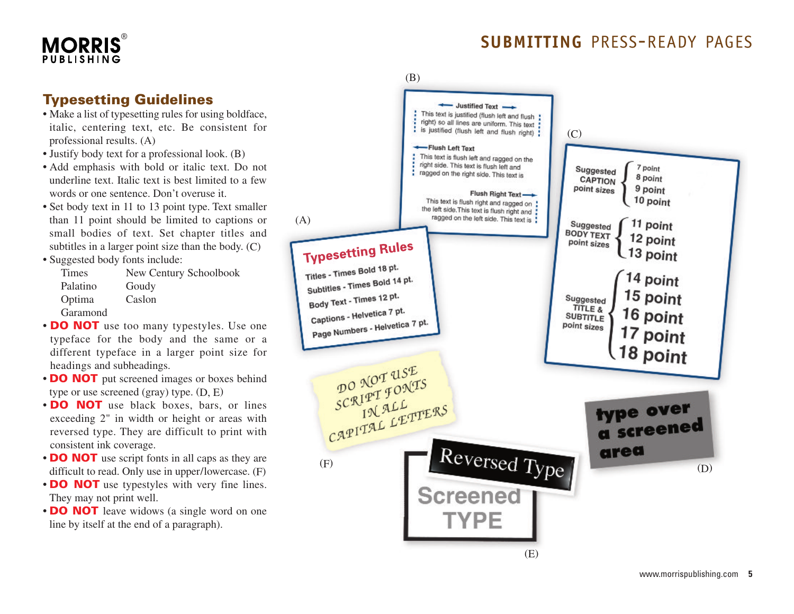## **MORRIS**

## SUBMITTING PRESS-READY PAGES

### **Typesetting Guidelines**

- Make a list of typesetting rules for using boldface, italic, centering text, etc. Be consistent for professional results. (A)
- Justify body text for a professional look. (B)
- Add emphasis with bold or italic text. Do not underline text. Italic text is best limited to a few words or one sentence. Don't overuse it.
- Set body text in 11 to 13 point type. Text smaller than 11 point should be limited to captions or small bodies of text. Set chapter titles and subtitles in a larger point size than the body. (C)
- Suggested body fonts include:

| Times    | New Century Schoolbook |
|----------|------------------------|
| Palatino | Goudy                  |
| Optima   | Caslon                 |
| Garamond |                        |

- **DO NOT** use too many typestyles. Use one typeface for the body and the same or a different typeface in a larger point size for headings and subheadings.
- **DO NOT** put screened images or boxes behind type or use screened (gray) type. (D, E)
- **DO NOT** use black boxes, bars, or lines exceeding 2" in width or height or areas with reversed type. They are difficult to print with consistent ink coverage.
- **DO NOT** use script fonts in all caps as they are difficult to read. Only use in upper/lowercase. (F)
- **DO NOT** use typestyles with very fine lines. They may not print well.
- **DO NOT** leave widows (a single word on one line by itself at the end of a paragraph).

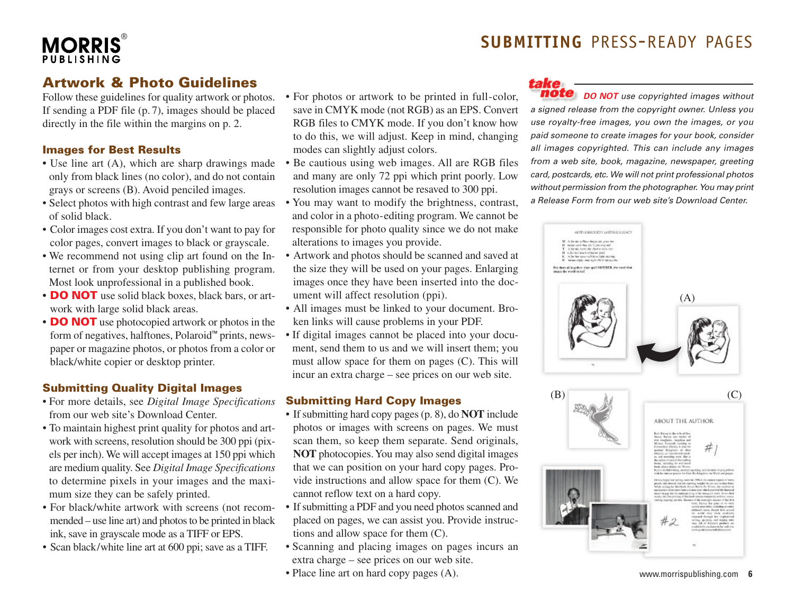

### **Artwork & Photo Guidelines**

Follow these guidelines for quality artwork or photos. If sending a PDF file (p. 7), images should be placed directly in the file within the margins on p. 2.

### **Images for Best Results**

- **•** Use line art (A), which are sharp drawings made only from black lines (no color), and do not contain grays or screens (B). Avoid penciled images.
- Select photos with high contrast and few large areas of solid black.
- Color images cost extra. If you don't want to pay for color pages, convert images to black or grayscale.
- We recommend not using clip art found on the Internet or from your desktop publishing program. Most look unprofessional in a published book.
- **• DO NOT** use solid black boxes, black bars, or artwork with large solid black areas.
- **• DO NOT** use photocopied artwork or photos in the form of negatives, halftones, Polaroid™ prints, newspaper or magazine photos, or photos from a color or black/white copier or desktop printer.

### **Submitting Quality Digital Images**

- For more details, see *Digital Image Specifications* from our web site's Download Center.
- To maintain highest print quality for photos and artwork with screens, resolution should be 300 ppi (pixels per inch). We will accept images at 150 ppi which are medium quality. See *Digital Image Specifications* to determine pixels in your images and the maximum size they can be safely printed.
- For black/white artwork with screens (not recommended – use line art) and photos to be printed in black ink, save in grayscale mode as a TIFF or EPS.
- Scan black/white line art at 600 ppi; save as a TIFF.
- For photos or artwork to be printed in full-color, save in CMYK mode (not RGB) as an EPS. Convert RGB files to CMYK mode. If you don't know how to do this, we will adjust. Keep in mind, changing modes can slightly adjust colors.
- Be cautious using web images. All are RGB files and many are only 72 ppi which print poorly. Low resolution images cannot be resaved to 300 ppi.
- You may want to modify the brightness, contrast, and color in a photo-editing program. We cannot be responsible for photo quality since we do not make alterations to images you provide.
- Artwork and photos should be scanned and saved at the size they will be used on your pages. Enlarging images once they have been inserted into the document will affect resolution (ppi).
- All images must be linked to your document. Broken links will cause problems in your PDF.
- If digital images cannot be placed into your document, send them to us and we will insert them; you must allow space for them on pages (C). This will incur an extra charge – see prices on our web site.

### **Submitting Hard Copy Images**

- If submitting hard copy pages (p. 8), do **NOT** include photos or images with screens on pages. We must scan them, so keep them separate. Send originals, **NOT** photocopies.You may also send digital images that we can position on your hard copy pages. Provide instructions and allow space for them (C). We cannot reflow text on a hard copy.
- If submitting a PDF and you need photos scanned and placed on pages, we can assist you. Provide instructions and allow space for them (C).
- Scanning and placing images on pages incurs an extra charge – see prices on our web site.
- Place line art on hard copy pages (A).

### take

*DO NOT use copyrighted images without a signed release from the copyright owner. Unless you use royalty-free images, you own the images, or you paid someone to create images for your book, consider all images copyrighted. This can include any images from a web site, book, magazine, newspaper, greeting card, postcards, etc. We will not print professional photos without permission from the photographer. You may print a Release Form from our web site's Download Center.*



www.morrispublishing.com **6**

### **SUBMITTING** PRESS-READY PAGES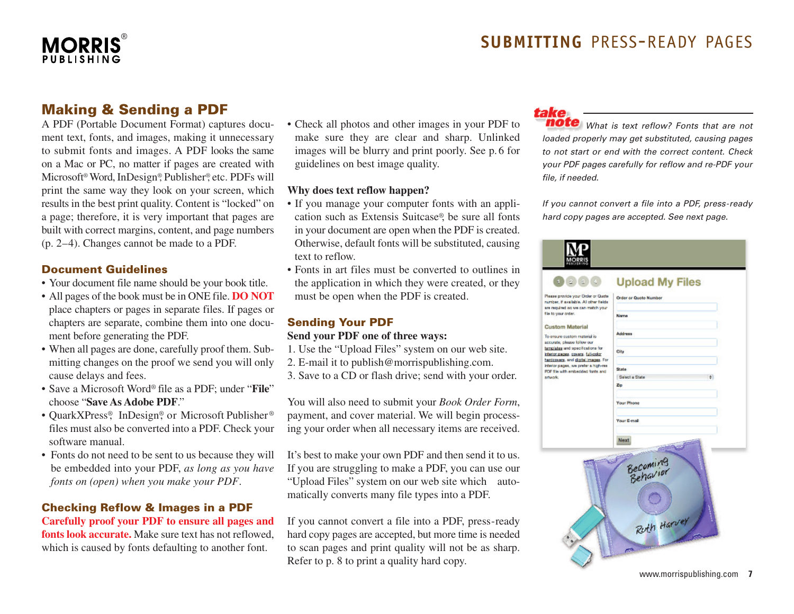

### **Making & Sending a PDF**

A PDF (Portable Document Format) captures document text, fonts, and images, making it unnecessary to submit fonts and images. A PDF looks the same on a Mac or PC, no matter if pages are created with Microsoft ®Word,InDesign®, Publisher®, etc. PDFs will print the same way they look on your screen, which results in the best print quality. Content is "locked" on a page; therefore, it is very important that pages are built with correct margins, content, and page numbers (p. 2–4). Changes cannot be made to a PDF.

#### **Document Guidelines**

- Your document file name should be your book title.
- All pages of the book must be in ONE file. **DO NOT** place chapters or pages in separate files. If pages or chapters are separate, combine them into one document before generating the PDF.
- When all pages are done, carefully proof them. Submitting changes on the proof we send you will only cause delays and fees.
- Save a Microsoft Word® file as a PDF; under "**File**" choose "**Save As Adobe PDF**."
- QuarkXPress®, InDesign®, or Microsoft Publisher ® files must also be converted into a PDF. Check your software manual.
- Fonts do not need to be sent to us because they will be embedded into your PDF, *as long as you have fonts on (open) when you make your PDF*.

### **Checking Reflow & Images in a PDF**

**Carefully proof your PDF to ensure all pages and fonts look accurate.** Make sure text has not reflowed, which is caused by fonts defaulting to another font.

• Check all photos and other images in your PDF to make sure they are clear and sharp. Unlinked images will be blurry and print poorly. See p. 6 for guidelines on best image quality.

#### **Why does text reflow happen?**

- If you manage your computer fonts with an application such as Extensis Suitcase®, be sure all fonts in your document are open when the PDF is created. Otherwise, default fonts will be substituted, causing text to reflow.
- Fonts in art files must be converted to outlines in the application in which they were created, or they must be open when the PDF is created.

### **Sending Your PDF Send your PDF one of three ways:**

- 1. Use the "Upload Files" system on our web site.
- 2. E-mail it to publish@morrispublishing.com.
- 

3. Save to a CD or flash drive; send with your order.

You will also need to submit your *Book Order Form*, payment, and cover material. We will begin processing your order when all necessary items are received.

It's best to make your own PDF and then send it to us. If you are struggling to make a PDF, you can use our "Upload Files" system on our web site which automatically converts many file types into a PDF.

If you cannot convert a file into a PDF, press-ready hard copy pages are accepted, but more time is needed to scan pages and print quality will not be as sharp. Refer to p. 8 to print a quality hard copy.

### take

*What is text reflow? Fonts that are not loaded properly may get substituted, causing pages to not start or end with the correct content. Check your PDF pages carefully for reflow and re-PDF your file, if needed.*

*If you cannot convert a file into a PDF, press-ready hard copy pages are accepted. See next page.*

|                                                                                                                                                                                                                                                                                                                                                  | <b>Upload My Files</b>              |
|--------------------------------------------------------------------------------------------------------------------------------------------------------------------------------------------------------------------------------------------------------------------------------------------------------------------------------------------------|-------------------------------------|
| Please provide your Order or Quate<br>number, if available. All other fields<br>are required as we can match your<br>file to your order.<br><b>Custom Material</b><br>To ensure custom material is<br>accurate, please follow our<br>templates and specifications for<br>interior pages, covers, full-color<br>hardcovers, and global mages. For | Order or Quate Number               |
|                                                                                                                                                                                                                                                                                                                                                  | Narras                              |
|                                                                                                                                                                                                                                                                                                                                                  | <b>Address</b>                      |
|                                                                                                                                                                                                                                                                                                                                                  |                                     |
|                                                                                                                                                                                                                                                                                                                                                  | City                                |
| interior pages, we prefer a high-res<br>PDF file with embedded forts and                                                                                                                                                                                                                                                                         | <b>State</b>                        |
| artwork.                                                                                                                                                                                                                                                                                                                                         | Select a State<br>÷.                |
|                                                                                                                                                                                                                                                                                                                                                  | Zp                                  |
|                                                                                                                                                                                                                                                                                                                                                  | <b>Your Phone</b>                   |
|                                                                                                                                                                                                                                                                                                                                                  | <b>Your E-mail</b>                  |
|                                                                                                                                                                                                                                                                                                                                                  | Next                                |
|                                                                                                                                                                                                                                                                                                                                                  | Becoming<br>Behavior<br>Ruth Harvey |